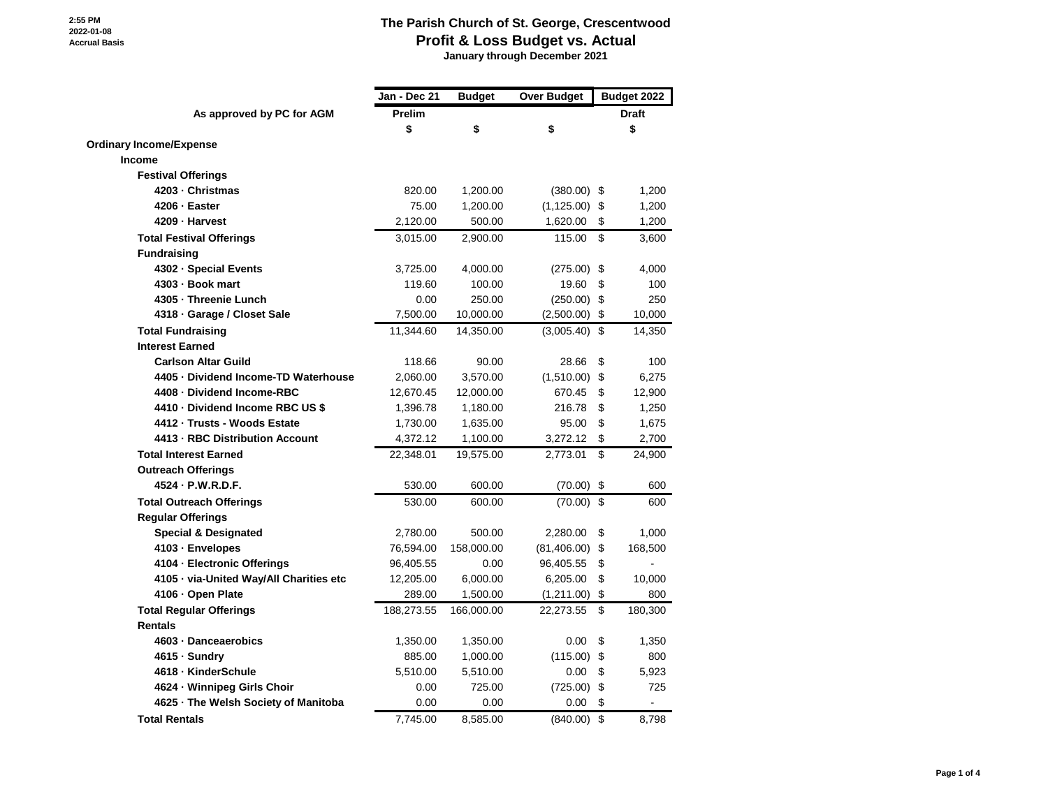**January through December 2021**

|                                         | Jan - Dec 21 | <b>Budget</b> | <b>Over Budget</b> |                    | Budget 2022 |
|-----------------------------------------|--------------|---------------|--------------------|--------------------|-------------|
| As approved by PC for AGM               | Prelim       |               |                    | <b>Draft</b><br>\$ |             |
|                                         | \$           | \$            | \$                 |                    |             |
| <b>Ordinary Income/Expense</b>          |              |               |                    |                    |             |
| <b>Income</b>                           |              |               |                    |                    |             |
| <b>Festival Offerings</b>               |              |               |                    |                    |             |
| 4203 - Christmas                        | 820.00       | 1,200.00      | $(380.00)$ \$      |                    | 1,200       |
| 4206 - Easter                           | 75.00        | 1,200.00      | (1, 125.00)        | \$                 | 1,200       |
| 4209 - Harvest                          | 2,120.00     | 500.00        | 1,620.00           | \$                 | 1,200       |
| <b>Total Festival Offerings</b>         | 3,015.00     | 2,900.00      | 115.00             | \$                 | 3,600       |
| <b>Fundraising</b>                      |              |               |                    |                    |             |
| 4302 - Special Events                   | 3,725.00     | 4,000.00      | $(275.00)$ \$      |                    | 4,000       |
| 4303 - Book mart                        | 119.60       | 100.00        | 19.60              | \$                 | 100         |
| 4305 - Threenie Lunch                   | 0.00         | 250.00        | $(250.00)$ \$      |                    | 250         |
| 4318 · Garage / Closet Sale             | 7,500.00     | 10,000.00     | (2,500.00)         | \$                 | 10,000      |
| <b>Total Fundraising</b>                | 11,344.60    | 14,350.00     | $(3,005.40)$ \$    |                    | 14,350      |
| <b>Interest Earned</b>                  |              |               |                    |                    |             |
| <b>Carlson Altar Guild</b>              | 118.66       | 90.00         | 28.66              | \$                 | 100         |
| 4405 · Dividend Income-TD Waterhouse    | 2,060.00     | 3,570.00      | $(1,510.00)$ \$    |                    | 6,275       |
| 4408 - Dividend Income-RBC              | 12,670.45    | 12,000.00     | 670.45             | \$                 | 12,900      |
| 4410 - Dividend Income RBC US \$        | 1,396.78     | 1,180.00      | 216.78             | \$                 | 1,250       |
| 4412 - Trusts - Woods Estate            | 1,730.00     | 1,635.00      | 95.00              | \$                 | 1,675       |
| 4413 - RBC Distribution Account         | 4,372.12     | 1,100.00      | 3,272.12           | \$                 | 2,700       |
| <b>Total Interest Earned</b>            | 22,348.01    | 19,575.00     | 2,773.01           | \$                 | 24,900      |
| <b>Outreach Offerings</b>               |              |               |                    |                    |             |
| 4524 · P.W.R.D.F.                       | 530.00       | 600.00        | (70.00)            | \$                 | 600         |
| <b>Total Outreach Offerings</b>         | 530.00       | 600.00        | $(70.00)$ \$       |                    | 600         |
| <b>Regular Offerings</b>                |              |               |                    |                    |             |
| <b>Special &amp; Designated</b>         | 2,780.00     | 500.00        | 2,280.00           | \$                 | 1,000       |
| 4103 · Envelopes                        | 76,594.00    | 158,000.00    | (81, 406.00)       | \$                 | 168,500     |
| 4104 - Electronic Offerings             | 96,405.55    | 0.00          | 96,405.55          | \$                 |             |
| 4105 - via-United Way/All Charities etc | 12,205.00    | 6,000.00      | 6,205.00           | \$                 | 10,000      |
| 4106 · Open Plate                       | 289.00       | 1,500.00      | (1,211.00)         | \$                 | 800         |
| <b>Total Regular Offerings</b>          | 188,273.55   | 166,000.00    | 22,273.55          | \$                 | 180,300     |
| <b>Rentals</b>                          |              |               |                    |                    |             |
| 4603 - Danceaerobics                    | 1,350.00     | 1,350.00      | 0.00               | \$                 | 1,350       |
| 4615 - Sundry                           | 885.00       | 1,000.00      | $(115.00)$ \$      |                    | 800         |
| 4618 - KinderSchule                     | 5,510.00     | 5,510.00      | 0.00               | \$                 | 5,923       |
| 4624 · Winnipeg Girls Choir             | 0.00         | 725.00        | (725.00)           | \$                 | 725         |
| 4625 - The Welsh Society of Manitoba    | 0.00         | 0.00          | 0.00               | \$                 |             |
| <b>Total Rentals</b>                    | 7,745.00     | 8,585.00      | (840.00)           | \$                 | 8,798       |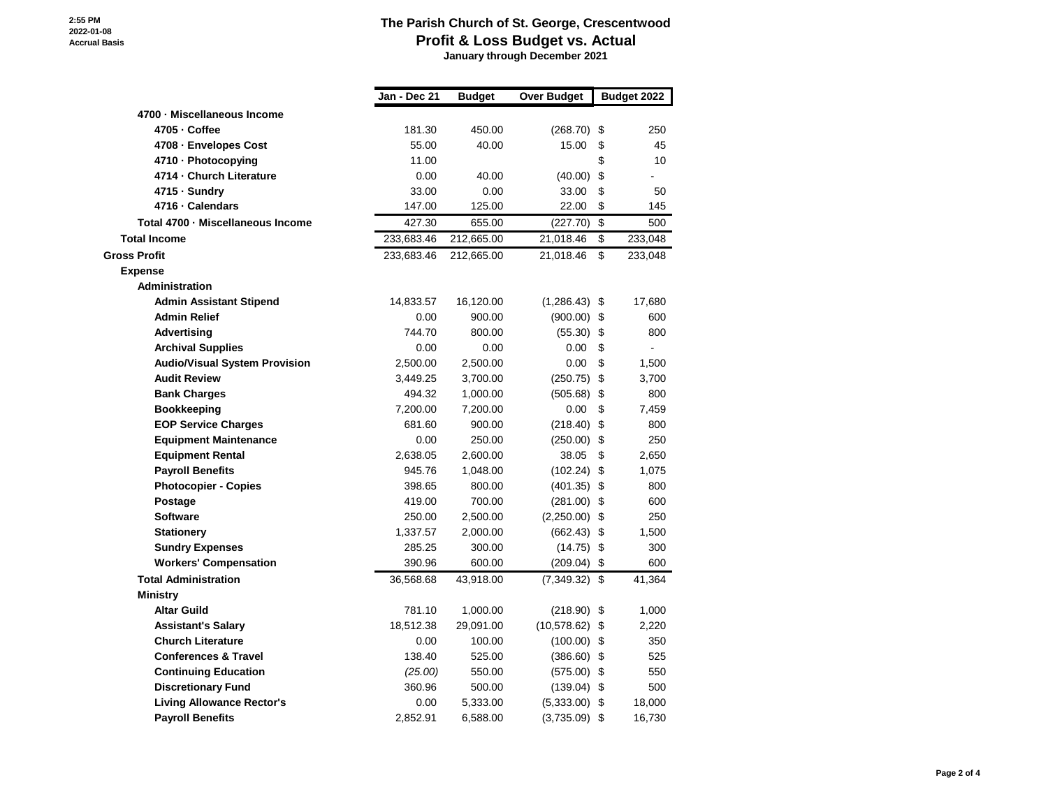**January through December 2021**

|                                      | Jan - Dec 21 | <b>Budget</b> | <b>Over Budget</b> | Budget 2022   |
|--------------------------------------|--------------|---------------|--------------------|---------------|
| 4700 · Miscellaneous Income          |              |               |                    |               |
| 4705 - Coffee                        | 181.30       | 450.00        | (268.70)           | \$<br>250     |
| 4708 - Envelopes Cost                | 55.00        | 40.00         | 15.00              | \$<br>45      |
| 4710 - Photocopying                  | 11.00        |               |                    | \$<br>10      |
| 4714 - Church Literature             | 0.00         | 40.00         | (40.00)            | \$            |
| 4715 - Sundry                        | 33.00        | 0.00          | 33.00              | \$<br>50      |
| 4716 · Calendars                     | 147.00       | 125.00        | 22.00              | \$<br>145     |
| Total 4700 - Miscellaneous Income    | 427.30       | 655.00        | (227.70)           | \$<br>500     |
| <b>Total Income</b>                  | 233,683.46   | 212,665.00    | 21,018.46          | \$<br>233,048 |
| <b>Gross Profit</b>                  | 233,683.46   | 212,665.00    | 21,018.46          | \$<br>233,048 |
| <b>Expense</b>                       |              |               |                    |               |
| Administration                       |              |               |                    |               |
| <b>Admin Assistant Stipend</b>       | 14,833.57    | 16,120.00     | $(1,286.43)$ \$    | 17,680        |
| <b>Admin Relief</b>                  | 0.00         | 900.00        | $(900.00)$ \$      | 600           |
| <b>Advertising</b>                   | 744.70       | 800.00        | (55.30)            | \$<br>800     |
| <b>Archival Supplies</b>             | 0.00         | 0.00          | 0.00               | \$            |
| <b>Audio/Visual System Provision</b> | 2,500.00     | 2,500.00      | 0.00               | \$<br>1,500   |
| <b>Audit Review</b>                  | 3,449.25     | 3,700.00      | (250.75)           | \$<br>3,700   |
| <b>Bank Charges</b>                  | 494.32       | 1,000.00      | $(505.68)$ \$      | 800           |
| <b>Bookkeeping</b>                   | 7,200.00     | 7,200.00      | 0.00               | \$<br>7,459   |
| <b>EOP Service Charges</b>           | 681.60       | 900.00        | $(218.40)$ \$      | 800           |
| <b>Equipment Maintenance</b>         | 0.00         | 250.00        | $(250.00)$ \$      | 250           |
| <b>Equipment Rental</b>              | 2,638.05     | 2,600.00      | 38.05              | \$<br>2,650   |
| <b>Payroll Benefits</b>              | 945.76       | 1,048.00      | $(102.24)$ \$      | 1,075         |
| <b>Photocopier - Copies</b>          | 398.65       | 800.00        | $(401.35)$ \$      | 800           |
| Postage                              | 419.00       | 700.00        | $(281.00)$ \$      | 600           |
| <b>Software</b>                      | 250.00       | 2,500.00      | $(2,250.00)$ \$    | 250           |
| <b>Stationery</b>                    | 1,337.57     | 2,000.00      | $(662.43)$ \$      | 1,500         |
| <b>Sundry Expenses</b>               | 285.25       | 300.00        | $(14.75)$ \$       | 300           |
| <b>Workers' Compensation</b>         | 390.96       | 600.00        | (209.04)           | \$<br>600     |
| <b>Total Administration</b>          | 36,568.68    | 43,918.00     | (7, 349.32)        | \$<br>41,364  |
| <b>Ministry</b>                      |              |               |                    |               |
| <b>Altar Guild</b>                   | 781.10       | 1,000.00      | $(218.90)$ \$      | 1,000         |
| <b>Assistant's Salary</b>            | 18,512.38    | 29,091.00     | $(10,578.62)$ \$   | 2,220         |
| <b>Church Literature</b>             | 0.00         | 100.00        | (100.00)           | \$<br>350     |
| <b>Conferences &amp; Travel</b>      | 138.40       | 525.00        | $(386.60)$ \$      | 525           |
| <b>Continuing Education</b>          | (25.00)      | 550.00        | $(575.00)$ \$      | 550           |
| <b>Discretionary Fund</b>            | 360.96       | 500.00        | $(139.04)$ \$      | 500           |
| <b>Living Allowance Rector's</b>     | 0.00         | 5,333.00      | $(5,333.00)$ \$    | 18,000        |
| <b>Payroll Benefits</b>              | 2.852.91     | 6,588.00      | $(3,735.09)$ \$    | 16,730        |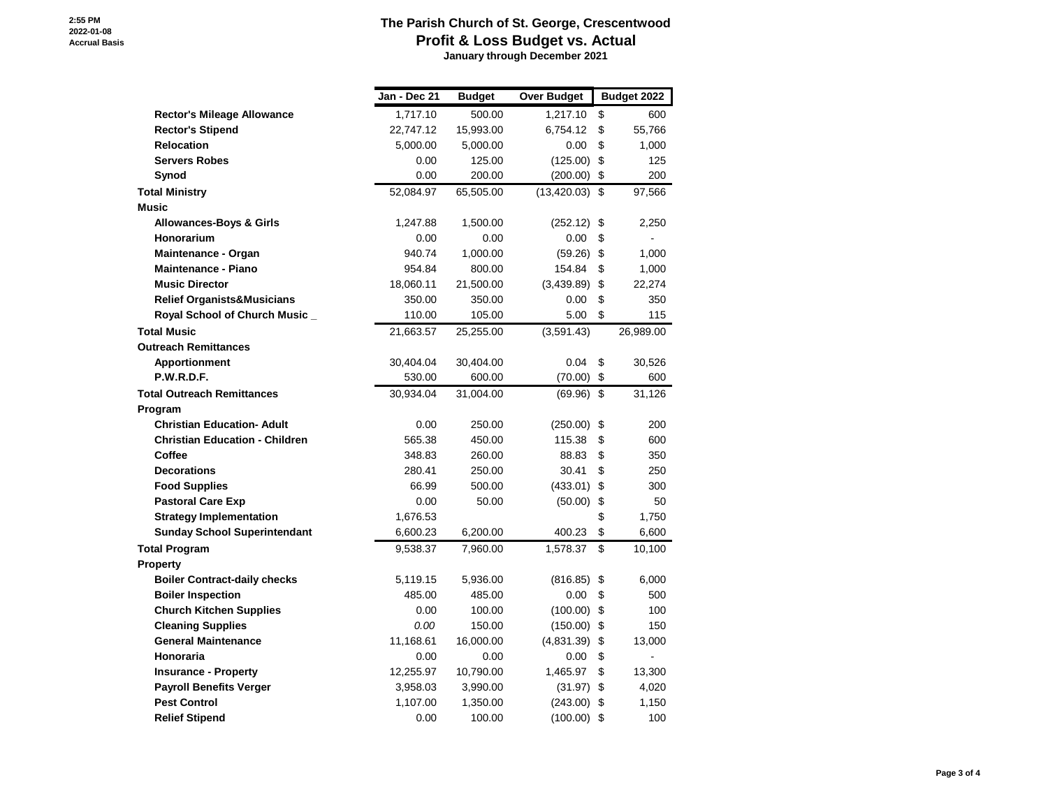**January through December 2021**

|                                       | Jan - Dec 21 | <b>Budget</b> | <b>Over Budget</b> | Budget 2022  |
|---------------------------------------|--------------|---------------|--------------------|--------------|
| <b>Rector's Mileage Allowance</b>     | 1,717.10     | 500.00        | 1,217.10           | \$<br>600    |
| <b>Rector's Stipend</b>               | 22,747.12    | 15,993.00     | 6,754.12           | \$<br>55,766 |
| <b>Relocation</b>                     | 5,000.00     | 5,000.00      | 0.00               | \$<br>1,000  |
| <b>Servers Robes</b>                  | 0.00         | 125.00        | (125.00)           | \$<br>125    |
| Synod                                 | 0.00         | 200.00        | (200.00)           | \$<br>200    |
| <b>Total Ministry</b>                 | 52,084.97    | 65,505.00     | (13, 420.03)       | \$<br>97,566 |
| <b>Music</b>                          |              |               |                    |              |
| <b>Allowances-Boys &amp; Girls</b>    | 1,247.88     | 1,500.00      | (252.12)           | \$<br>2,250  |
| Honorarium                            | 0.00         | 0.00          | 0.00               | \$           |
| <b>Maintenance - Organ</b>            | 940.74       | 1,000.00      | (59.26)            | \$<br>1,000  |
| <b>Maintenance - Piano</b>            | 954.84       | 800.00        | 154.84             | \$<br>1,000  |
| <b>Music Director</b>                 | 18,060.11    | 21,500.00     | (3,439.89)         | \$<br>22,274 |
| <b>Relief Organists&amp;Musicians</b> | 350.00       | 350.00        | 0.00               | \$<br>350    |
| Royal School of Church Music_         | 110.00       | 105.00        | 5.00               | \$<br>115    |
| <b>Total Music</b>                    | 21,663.57    | 25,255.00     | (3,591.43)         | 26,989.00    |
| <b>Outreach Remittances</b>           |              |               |                    |              |
| Apportionment                         | 30,404.04    | 30,404.00     | 0.04               | \$<br>30,526 |
| <b>P.W.R.D.F.</b>                     | 530.00       | 600.00        | (70.00)            | \$<br>600    |
| <b>Total Outreach Remittances</b>     | 30,934.04    | 31,004.00     | $(69.96)$ \$       | 31,126       |
| Program                               |              |               |                    |              |
| <b>Christian Education- Adult</b>     | 0.00         | 250.00        | (250.00)           | \$<br>200    |
| <b>Christian Education - Children</b> | 565.38       | 450.00        | 115.38             | \$<br>600    |
| Coffee                                | 348.83       | 260.00        | 88.83              | \$<br>350    |
| <b>Decorations</b>                    | 280.41       | 250.00        | 30.41              | \$<br>250    |
| <b>Food Supplies</b>                  | 66.99        | 500.00        | (433.01)           | \$<br>300    |
| <b>Pastoral Care Exp</b>              | 0.00         | 50.00         | (50.00)            | \$<br>50     |
| <b>Strategy Implementation</b>        | 1,676.53     |               |                    | \$<br>1,750  |
| <b>Sunday School Superintendant</b>   | 6,600.23     | 6,200.00      | 400.23             | \$<br>6,600  |
| <b>Total Program</b>                  | 9,538.37     | 7,960.00      | 1,578.37           | \$<br>10,100 |
| <b>Property</b>                       |              |               |                    |              |
| <b>Boiler Contract-daily checks</b>   | 5,119.15     | 5,936.00      | (816.85)           | \$<br>6,000  |
| <b>Boiler Inspection</b>              | 485.00       | 485.00        | 0.00               | \$<br>500    |
| <b>Church Kitchen Supplies</b>        | 0.00         | 100.00        | (100.00)           | \$<br>100    |
| <b>Cleaning Supplies</b>              | 0.00         | 150.00        | (150.00)           | \$<br>150    |
| <b>General Maintenance</b>            | 11,168.61    | 16,000.00     | (4,831.39)         | \$<br>13,000 |
| Honoraria                             | 0.00         | 0.00          | 0.00               | \$           |
| <b>Insurance - Property</b>           | 12,255.97    | 10,790.00     | 1,465.97           | \$<br>13,300 |
| <b>Payroll Benefits Verger</b>        | 3,958.03     | 3,990.00      | (31.97)            | \$<br>4,020  |
| <b>Pest Control</b>                   | 1,107.00     | 1,350.00      | (243.00)           | \$<br>1,150  |
| <b>Relief Stipend</b>                 | 0.00         | 100.00        | $(100.00)$ \$      | 100          |